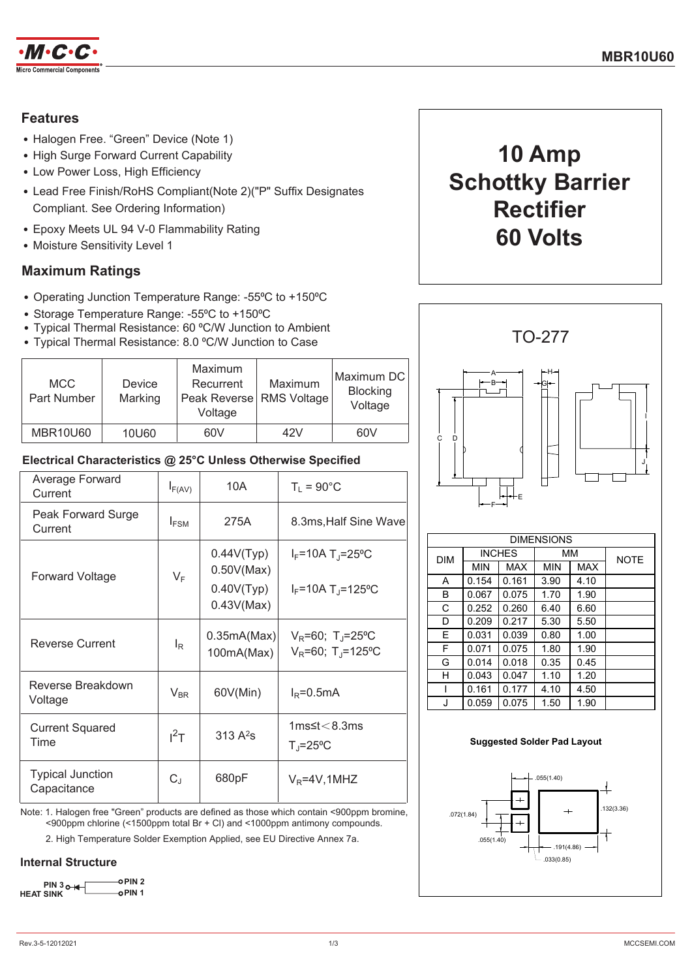

## **Features**

- Halogen Free. "Green" Device (Note 1)
- High Surge Forward Current Capability
- Low Power Loss, High Efficiency
- Lead Free Finish/RoHS Compliant(Note 2)("P" Suffix Designates Compliant. See Ordering Information)
- Epoxy Meets UL 94 V-0 Flammability Rating
- Moisture Sensitivity Level 1

## **Maximum Ratings**

- Operating Junction Temperature Range: -55°C to +150°C
- Storage Temperature Range: -55°C to +150°C
- Typical Thermal Resistance: 60 °C/W Junction to Ambient
- Typical Thermal Resistance: 8.0 °C/W Junction to Case

| <b>MCC</b><br>Part Number | Device<br>Marking | Maximum<br>Recurrent<br>Peak Reverse RMS Voltage<br>Voltage | Maximum | Maximum DC<br><b>Blocking</b><br>Voltage |
|---------------------------|-------------------|-------------------------------------------------------------|---------|------------------------------------------|
| <b>MBR10U60</b>           | 10U60             | 60V                                                         | 42V     | 60V                                      |

### Electrical Characteristics @ 25°C Unless Otherwise Specified

| Average Forward<br>Current             | $I_{F(AV)}$      | 10A                                                  | $T_1 = 90^{\circ}$ C                                                    |
|----------------------------------------|------------------|------------------------------------------------------|-------------------------------------------------------------------------|
| Peak Forward Surge<br>Current          | $I_{FSM}$        | 275A                                                 | 8.3ms, Half Sine Wave                                                   |
| Forward Voltage                        | $V_F$            | 0.44V(Typ)<br>0.50V(Max)<br>0.40V(Typ)<br>0.43V(Max) | $I_F$ =10A T <sub>J</sub> =25°C<br>$I_F = 10A T_I = 125°C$              |
| <b>Reverse Current</b>                 | $I_{\mathsf{R}}$ | 0.35mA(Max)<br>100mA(Max)                            | $V_R = 60$ ; T <sub>J</sub> =25°C<br>$V_R = 60$ ; T <sub>J</sub> =125°C |
| Reverse Breakdown<br>Voltage           | $V_{BR}$         | 60V(Min)                                             | $I_R = 0.5mA$                                                           |
| <b>Current Squared</b><br>Time         | $I^2$ T          | 313 $A^2$ s                                          | 1 $ms$ ≤t $<$ 8.3 $ms$<br>$T_{\rm J}$ =25°C                             |
| <b>Typical Junction</b><br>Capacitance | $C_J$            | 680pF                                                | $V_R = 4V, 1MHz$                                                        |

Note: 1. Halogen free "Green" products are defined as those which contain <900ppm bromine, <900ppm chlorine (<1500ppm total Br + Cl) and <1000ppm antimony compounds.

2. High Temperature Solder Exemption Applied, see EU Directive Annex 7a.

### **Internal Structure**

oPIN<sub>2</sub>  $PIN 3<sub>0</sub>+$ **HEAT SINK** o PIN 1





| <b>DIMENSIONS</b> |               |            |      |            |             |
|-------------------|---------------|------------|------|------------|-------------|
| <b>DIM</b>        | <b>INCHES</b> |            | MМ   |            | <b>NOTE</b> |
|                   | <b>MIN</b>    | <b>MAX</b> | MIN  | <b>MAX</b> |             |
| A                 | 0.154         | 0.161      | 3.90 | 4.10       |             |
| В                 | 0.067         | 0.075      | 1.70 | 1.90       |             |
| C                 | 0.252         | 0.260      | 6.40 | 6.60       |             |
| D                 | 0.209         | 0.217      | 5.30 | 5.50       |             |
| E                 | 0.031         | 0.039      | 0.80 | 1.00       |             |
| F                 | 0.071         | 0.075      | 1.80 | 1.90       |             |
| G                 | 0.014         | 0.018      | 0.35 | 0.45       |             |
| н                 | 0.043         | 0.047      | 1.10 | 1.20       |             |
| ı                 | 0.161         | 0.177      | 4.10 | 4.50       |             |
| J                 | 0.059         | 0.075      | 1.50 | 1.90       |             |

#### **Suggested Solder Pad Layout**

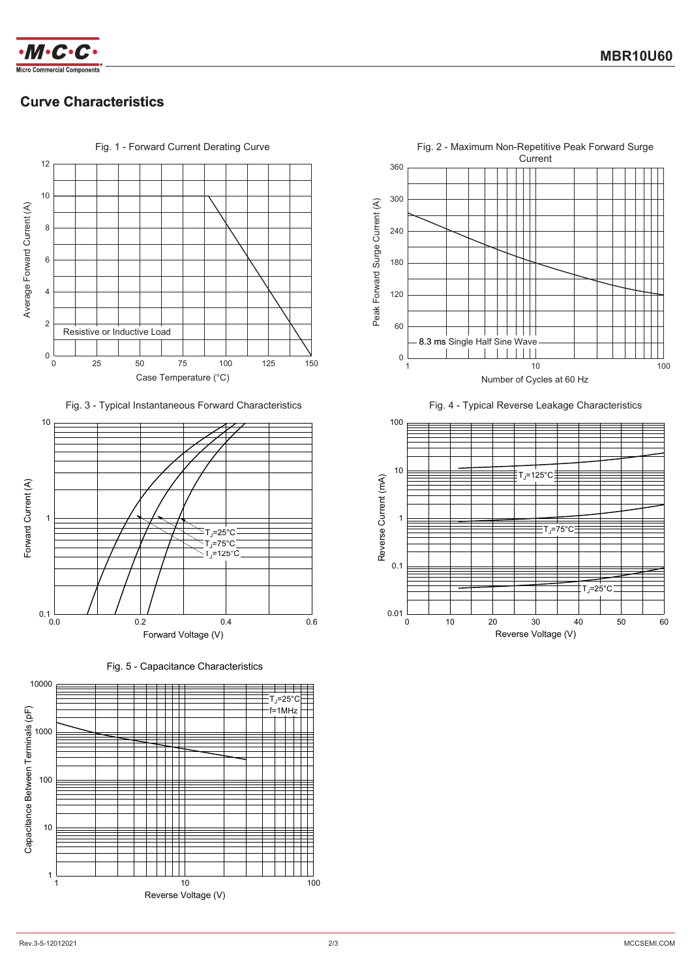

# **Curve Characteristics**



Fig. 3 - Typical Instantaneous Forward Characteristics



Fig. 5 - Capacitance Characteristics